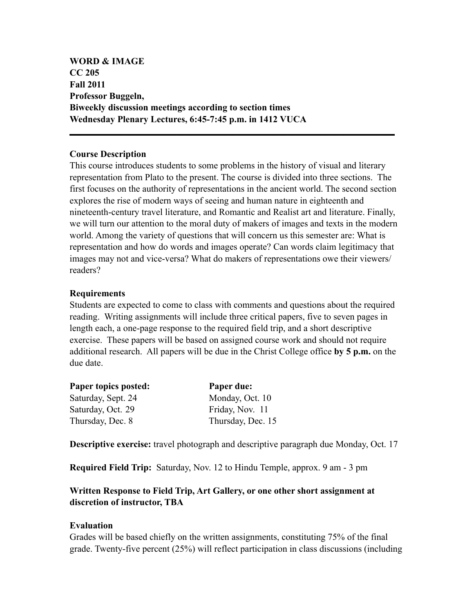**WORD & IMAGE CC 205 Fall 2011 Professor Buggeln, Biweekly discussion meetings according to section times Wednesday Plenary Lectures, 6:45-7:45 p.m. in 1412 VUCA**

## **Course Description**

This course introduces students to some problems in the history of visual and literary representation from Plato to the present. The course is divided into three sections. The first focuses on the authority of representations in the ancient world. The second section explores the rise of modern ways of seeing and human nature in eighteenth and nineteenth-century travel literature, and Romantic and Realist art and literature. Finally, we will turn our attention to the moral duty of makers of images and texts in the modern world. Among the variety of questions that will concern us this semester are: What is representation and how do words and images operate? Can words claim legitimacy that images may not and vice-versa? What do makers of representations owe their viewers/ readers?

**\_\_\_\_\_\_\_\_\_\_\_\_\_\_\_\_\_\_\_\_\_\_\_\_\_\_\_\_\_\_\_\_\_\_\_\_\_\_\_\_\_\_\_\_\_\_\_\_\_\_\_\_\_\_\_\_\_\_\_\_\_\_\_\_\_\_\_\_\_\_**

## **Requirements**

Students are expected to come to class with comments and questions about the required reading. Writing assignments will include three critical papers, five to seven pages in length each, a one-page response to the required field trip, and a short descriptive exercise. These papers will be based on assigned course work and should not require additional research. All papers will be due in the Christ College office **by 5 p.m.** on the due date.

| Paper due:        |
|-------------------|
| Monday, Oct. 10   |
| Friday, Nov. 11   |
| Thursday, Dec. 15 |
|                   |

**Descriptive exercise:** travel photograph and descriptive paragraph due Monday, Oct. 17

**Required Field Trip:** Saturday, Nov. 12 to Hindu Temple, approx. 9 am - 3 pm

# **Written Response to Field Trip, Art Gallery, or one other short assignment at discretion of instructor, TBA**

### **Evaluation**

Grades will be based chiefly on the written assignments, constituting 75% of the final grade. Twenty-five percent (25%) will reflect participation in class discussions (including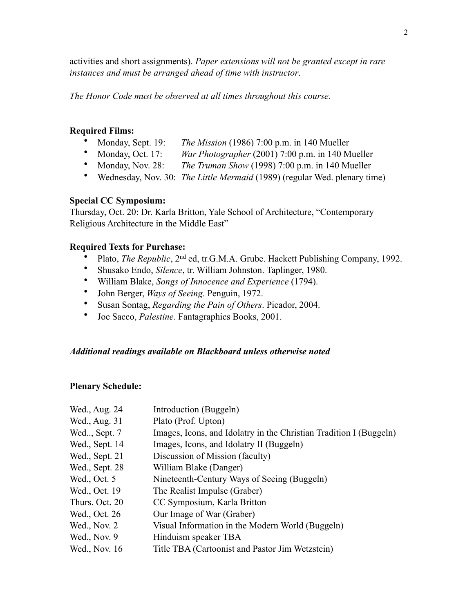activities and short assignments). *Paper extensions will not be granted except in rare instances and must be arranged ahead of time with instructor*.

*The Honor Code must be observed at all times throughout this course.* 

#### **Required Films:**

- Monday, Sept. 19: *The Mission* (1986) 7:00 p.m. in 140 Mueller
- Monday, Oct. 17: *War Photographer* (2001) 7:00 p.m. in 140 Mueller
- Monday, Nov. 28: *The Truman Show* (1998) 7:00 p.m. in 140 Mueller
- Wednesday, Nov. 30: *The Little Mermaid* (1989) (regular Wed. plenary time)

### **Special CC Symposium:**

Thursday, Oct. 20: Dr. Karla Britton, Yale School of Architecture, "Contemporary Religious Architecture in the Middle East"

# **Required Texts for Purchase:**

- Plato, *The Republic*, 2nd ed, tr.G.M.A. Grube. Hackett Publishing Company, 1992.
- Shusako Endo, *Silence*, tr. William Johnston. Taplinger, 1980.
- William Blake, *Songs of Innocence and Experience* (1794).
- John Berger, *Ways of Seeing*. Penguin, 1972.
- Susan Sontag, *Regarding the Pain of Others*. Picador, 2004.
- Joe Sacco, *Palestine*. Fantagraphics Books, 2001.

### *Additional readings available on Blackboard unless otherwise noted*

### **Plenary Schedule:**

| Wed., Aug. 24  | Introduction (Buggeln)                                             |
|----------------|--------------------------------------------------------------------|
| Wed., Aug. 31  | Plato (Prof. Upton)                                                |
| Wed, Sept. 7   | Images, Icons, and Idolatry in the Christian Tradition I (Buggeln) |
| Wed., Sept. 14 | Images, Icons, and Idolatry II (Buggeln)                           |
| Wed., Sept. 21 | Discussion of Mission (faculty)                                    |
| Wed., Sept. 28 | William Blake (Danger)                                             |
| Wed., Oct. 5   | Nineteenth-Century Ways of Seeing (Buggeln)                        |
| Wed., Oct. 19  | The Realist Impulse (Graber)                                       |
| Thurs. Oct. 20 | CC Symposium, Karla Britton                                        |
| Wed., Oct. 26  | Our Image of War (Graber)                                          |
| Wed., Nov. 2   | Visual Information in the Modern World (Buggeln)                   |
| Wed., Nov. 9   | Hinduism speaker TBA                                               |
| Wed., Nov. 16  | Title TBA (Cartoonist and Pastor Jim Wetzstein)                    |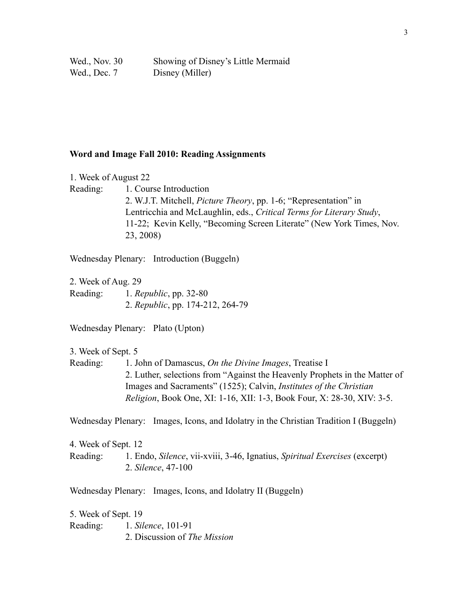| Wed., Nov. 30 | Showing of Disney's Little Mermaid |
|---------------|------------------------------------|
| Wed., Dec. 7  | Disney (Miller)                    |

#### **Word and Image Fall 2010: Reading Assignments**

1. Week of August 22

Reading: 1. Course Introduction 2. W.J.T. Mitchell, *Picture Theory*, pp. 1-6; "Representation" in Lentricchia and McLaughlin, eds., *Critical Terms for Literary Study*, 11-22; Kevin Kelly, "Becoming Screen Literate" (New York Times, Nov. 23, 2008)

Wednesday Plenary: Introduction (Buggeln)

2. Week of Aug. 29 Reading: 1. *Republic*, pp. 32-80 2. *Republic*, pp. 174-212, 264-79

Wednesday Plenary: Plato (Upton)

3. Week of Sept. 5

Reading: 1. John of Damascus, *On the Divine Images*, Treatise I 2. Luther, selections from "Against the Heavenly Prophets in the Matter of Images and Sacraments" (1525); Calvin, *Institutes of the Christian Religion*, Book One, XI: 1-16, XII: 1-3, Book Four, X: 28-30, XIV: 3-5.

Wednesday Plenary: Images, Icons, and Idolatry in the Christian Tradition I (Buggeln)

4. Week of Sept. 12 Reading: 1. Endo, *Silence*, vii-xviii, 3-46, Ignatius, *Spiritual Exercises* (excerpt) 2. *Silence*, 47-100

Wednesday Plenary: Images, Icons, and Idolatry II (Buggeln)

5. Week of Sept. 19 Reading: 1. *Silence*, 101-91 2. Discussion of *The Mission*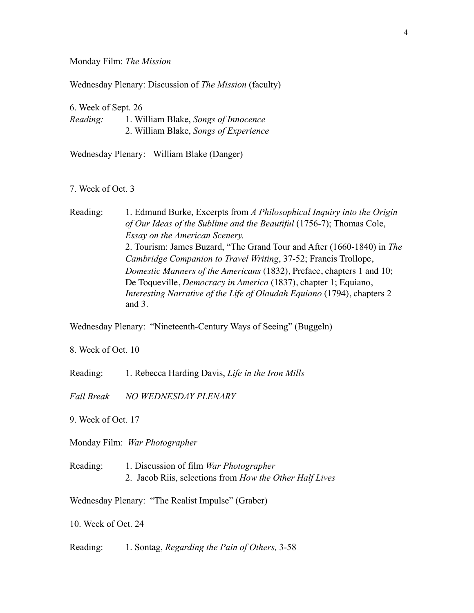Monday Film: *The Mission*

Wednesday Plenary: Discussion of *The Mission* (faculty)

6. Week of Sept. 26 *Reading:* 1. William Blake, *Songs of Innocence* 2. William Blake, *Songs of Experience*

Wednesday Plenary: William Blake (Danger)

7. Week of Oct. 3

Reading: 1. Edmund Burke, Excerpts from *A Philosophical Inquiry into the Origin of Our Ideas of the Sublime and the Beautiful* (1756-7); Thomas Cole, *Essay on the American Scenery.* 2. Tourism: James Buzard, "The Grand Tour and After (1660-1840) in *The Cambridge Companion to Travel Writing*, 37-52; Francis Trollope, *Domestic Manners of the Americans* (1832), Preface, chapters 1 and 10; De Toqueville, *Democracy in America* (1837), chapter 1; Equiano, *Interesting Narrative of the Life of Olaudah Equiano* (1794), chapters 2 and 3.

Wednesday Plenary: "Nineteenth-Century Ways of Seeing" (Buggeln)

8. Week of Oct. 10

Reading: 1. Rebecca Harding Davis, *Life in the Iron Mills*

*Fall Break NO WEDNESDAY PLENARY*

9. Week of Oct. 17

Monday Film: *War Photographer*

Reading: 1. Discussion of film *War Photographer* 2. Jacob Riis, selections from *How the Other Half Lives*

Wednesday Plenary: "The Realist Impulse" (Graber)

10. Week of Oct. 24

Reading: 1. Sontag, *Regarding the Pain of Others,* 3-58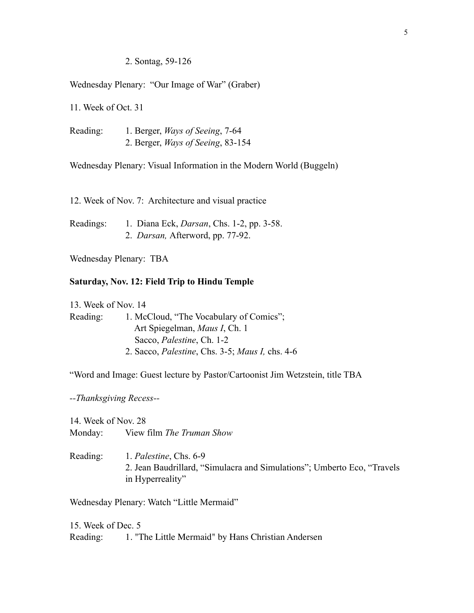### 2. Sontag, 59-126

Wednesday Plenary: "Our Image of War" (Graber)

11. Week of Oct. 31

Reading: 1. Berger, *Ways of Seeing*, 7-64 2. Berger, *Ways of Seeing*, 83-154

Wednesday Plenary: Visual Information in the Modern World (Buggeln)

12. Week of Nov. 7: Architecture and visual practice

Readings: 1. Diana Eck, *Darsan*, Chs. 1-2, pp. 3-58. 2. *Darsan,* Afterword, pp. 77-92.

Wednesday Plenary: TBA

### **Saturday, Nov. 12: Field Trip to Hindu Temple**

13. Week of Nov. 14 Reading: 1. McCloud, "The Vocabulary of Comics"; Art Spiegelman, *Maus I*, Ch. 1 Sacco, *Palestine*, Ch. 1-2 2. Sacco, *Palestine*, Chs. 3-5; *Maus I,* chs. 4-6

"Word and Image: Guest lecture by Pastor/Cartoonist Jim Wetzstein, title TBA

*--Thanksgiving Recess--*

14. Week of Nov. 28 Monday: View film *The Truman Show*

Reading: 1. *Palestine*, Chs. 6-9 2. Jean Baudrillard, "Simulacra and Simulations"; Umberto Eco, "Travels in Hyperreality"

Wednesday Plenary: Watch "Little Mermaid"

15. Week of Dec. 5 Reading: 1. "The Little Mermaid" by Hans Christian Andersen